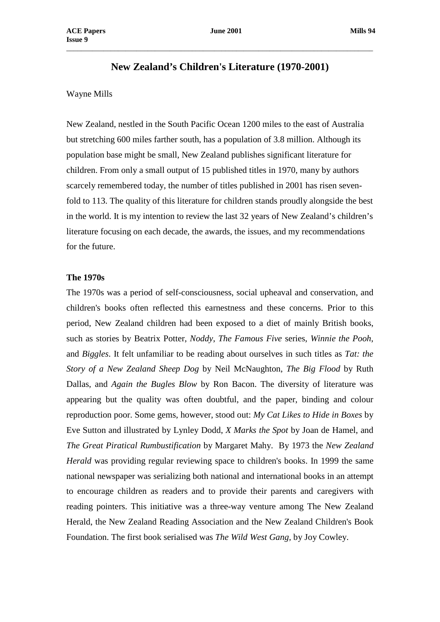# **New Zealand's Children's Literature (1970-2001)**

\_\_\_\_\_\_\_\_\_\_\_\_\_\_\_\_\_\_\_\_\_\_\_\_\_\_\_\_\_\_\_\_\_\_\_\_\_\_\_\_\_\_\_\_\_\_\_\_\_\_\_\_\_\_\_\_\_\_\_\_\_\_\_\_\_\_\_\_\_\_\_\_\_\_\_\_\_\_\_\_\_\_\_

# Wayne Mills

New Zealand, nestled in the South Pacific Ocean 1200 miles to the east of Australia but stretching 600 miles farther south, has a population of 3.8 million. Although its population base might be small, New Zealand publishes significant literature for children. From only a small output of 15 published titles in 1970, many by authors scarcely remembered today, the number of titles published in 2001 has risen sevenfold to 113. The quality of this literature for children stands proudly alongside the best in the world. It is my intention to review the last 32 years of New Zealand's children's literature focusing on each decade, the awards, the issues, and my recommendations for the future.

## **The 1970s**

The 1970s was a period of self-consciousness, social upheaval and conservation, and children's books often reflected this earnestness and these concerns. Prior to this period, New Zealand children had been exposed to a diet of mainly British books, such as stories by Beatrix Potter, *Noddy*, *The Famous Five* series, *Winnie the Pooh*, and *Biggles*. It felt unfamiliar to be reading about ourselves in such titles as *Tat: the Story of a New Zealand Sheep Dog* by Neil McNaughton, *The Big Flood* by Ruth Dallas, and *Again the Bugles Blow* by Ron Bacon. The diversity of literature was appearing but the quality was often doubtful, and the paper, binding and colour reproduction poor. Some gems, however, stood out: *My Cat Likes to Hide in Boxes* by Eve Sutton and illustrated by Lynley Dodd, *X Marks the Spot* by Joan de Hamel, and *The Great Piratical Rumbustification* by Margaret Mahy. By 1973 the *New Zealand Herald* was providing regular reviewing space to children's books. In 1999 the same national newspaper was serializing both national and international books in an attempt to encourage children as readers and to provide their parents and caregivers with reading pointers. This initiative was a three-way venture among The New Zealand Herald, the New Zealand Reading Association and the New Zealand Children's Book Foundation. The first book serialised was *The Wild West Gang,* by Joy Cowley.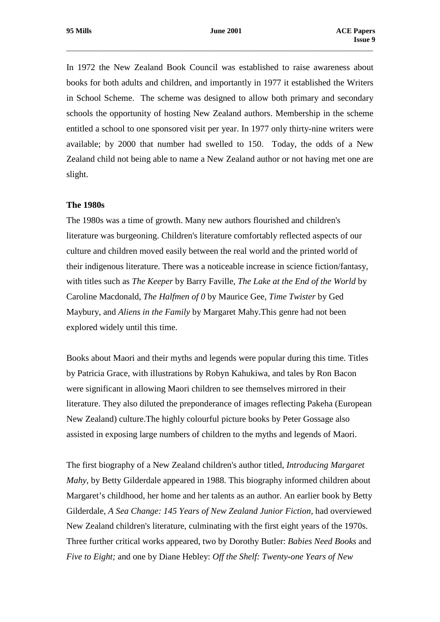In 1972 the New Zealand Book Council was established to raise awareness about books for both adults and children, and importantly in 1977 it established the Writers in School Scheme. The scheme was designed to allow both primary and secondary schools the opportunity of hosting New Zealand authors. Membership in the scheme entitled a school to one sponsored visit per year. In 1977 only thirty-nine writers were available; by 2000 that number had swelled to 150. Today, the odds of a New Zealand child not being able to name a New Zealand author or not having met one are slight.

## **The 1980s**

The 1980s was a time of growth. Many new authors flourished and children's literature was burgeoning. Children's literature comfortably reflected aspects of our culture and children moved easily between the real world and the printed world of their indigenous literature. There was a noticeable increase in science fiction/fantasy, with titles such as *The Keeper* by Barry Faville, *The Lake at the End of the World* by Caroline Macdonald, *The Halfmen of 0* by Maurice Gee, *Time Twister* by Ged Maybury, and *Aliens in the Family* by Margaret Mahy.This genre had not been explored widely until this time.

Books about Maori and their myths and legends were popular during this time. Titles by Patricia Grace, with illustrations by Robyn Kahukiwa, and tales by Ron Bacon were significant in allowing Maori children to see themselves mirrored in their literature. They also diluted the preponderance of images reflecting Pakeha (European New Zealand) culture.The highly colourful picture books by Peter Gossage also assisted in exposing large numbers of children to the myths and legends of Maori.

The first biography of a New Zealand children's author titled, *Introducing Margaret Mahy*, by Betty Gilderdale appeared in 1988. This biography informed children about Margaret's childhood, her home and her talents as an author. An earlier book by Betty Gilderdale, *A Sea Change: 145 Years of New Zealand Junior Fiction,* had overviewed New Zealand children's literature, culminating with the first eight years of the 1970s. Three further critical works appeared, two by Dorothy Butler: *Babies Need Books* and *Five to Eight;* and one by Diane Hebley: *Off the Shelf: Twenty-one Years of New*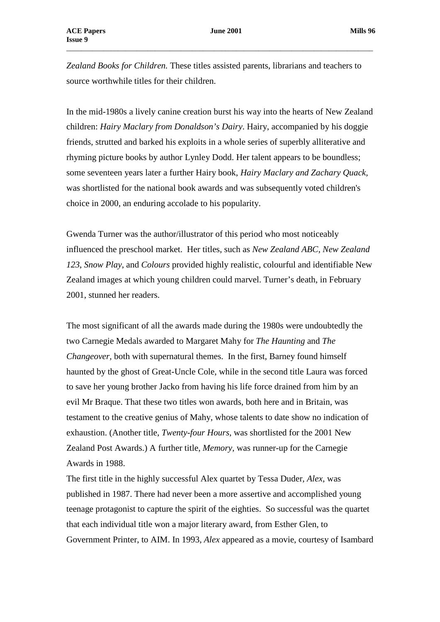*Zealand Books for Children.* These titles assisted parents, librarians and teachers to source worthwhile titles for their children.

In the mid-1980s a lively canine creation burst his way into the hearts of New Zealand children: *Hairy Maclary from Donaldson's Dairy*. Hairy, accompanied by his doggie friends, strutted and barked his exploits in a whole series of superbly alliterative and rhyming picture books by author Lynley Dodd. Her talent appears to be boundless; some seventeen years later a further Hairy book, *Hairy Maclary and Zachary Quack,* was shortlisted for the national book awards and was subsequently voted children's choice in 2000, an enduring accolade to his popularity.

Gwenda Turner was the author/illustrator of this period who most noticeably influenced the preschool market. Her titles, such as *New Zealand ABC*, *New Zealand 123*, *Snow Play*, and *Colours* provided highly realistic, colourful and identifiable New Zealand images at which young children could marvel. Turner's death, in February 2001, stunned her readers.

The most significant of all the awards made during the 1980s were undoubtedly the two Carnegie Medals awarded to Margaret Mahy for *The Haunting* and *The Changeover,* both with supernatural themes. In the first, Barney found himself haunted by the ghost of Great-Uncle Cole, while in the second title Laura was forced to save her young brother Jacko from having his life force drained from him by an evil Mr Braque. That these two titles won awards, both here and in Britain, was testament to the creative genius of Mahy, whose talents to date show no indication of exhaustion. (Another title, *Twenty-four Hours*, was shortlisted for the 2001 New Zealand Post Awards.) A further title, *Memory,* was runner-up for the Carnegie Awards in 1988.

The first title in the highly successful Alex quartet by Tessa Duder, *Alex*, was published in 1987. There had never been a more assertive and accomplished young teenage protagonist to capture the spirit of the eighties. So successful was the quartet that each individual title won a major literary award, from Esther Glen, to Government Printer, to AIM. In 1993, *Alex* appeared as a movie, courtesy of Isambard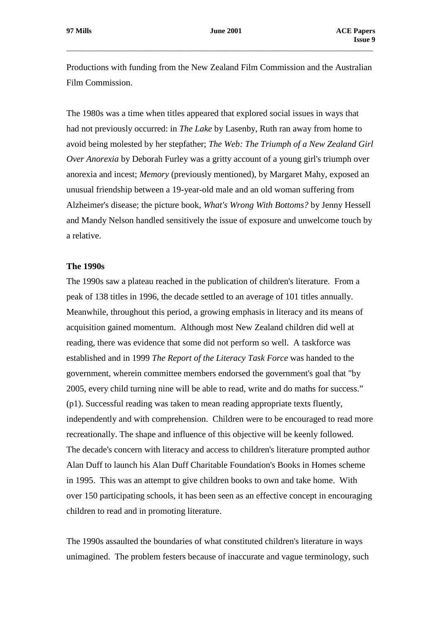Productions with funding from the New Zealand Film Commission and the Australian Film Commission.

\_\_\_\_\_\_\_\_\_\_\_\_\_\_\_\_\_\_\_\_\_\_\_\_\_\_\_\_\_\_\_\_\_\_\_\_\_\_\_\_\_\_\_\_\_\_\_\_\_\_\_\_\_\_\_\_\_\_\_\_\_\_\_\_\_\_\_\_\_\_\_\_\_\_\_\_\_\_\_\_\_\_\_

The 1980s was a time when titles appeared that explored social issues in ways that had not previously occurred: in *The Lake* by Lasenby, Ruth ran away from home to avoid being molested by her stepfather; *The Web: The Triumph of a New Zealand Girl Over Anorexia* by Deborah Furley was a gritty account of a young girl's triumph over anorexia and incest; *Memory* (previously mentioned), by Margaret Mahy, exposed an unusual friendship between a 19-year-old male and an old woman suffering from Alzheimer's disease; the picture book, *What's Wrong With Bottoms?* by Jenny Hessell and Mandy Nelson handled sensitively the issue of exposure and unwelcome touch by a relative.

## **The 1990s**

The 1990s saw a plateau reached in the publication of children's literature. From a peak of 138 titles in 1996, the decade settled to an average of 101 titles annually. Meanwhile, throughout this period, a growing emphasis in literacy and its means of acquisition gained momentum. Although most New Zealand children did well at reading, there was evidence that some did not perform so well. A taskforce was established and in 1999 *The Report of the Literacy Task Force* was handed to the government, wherein committee members endorsed the government's goal that "by 2005, every child turning nine will be able to read, write and do maths for success." (p1). Successful reading was taken to mean reading appropriate texts fluently, independently and with comprehension. Children were to be encouraged to read more recreationally. The shape and influence of this objective will be keenly followed. The decade's concern with literacy and access to children's literature prompted author Alan Duff to launch his Alan Duff Charitable Foundation's Books in Homes scheme in 1995. This was an attempt to give children books to own and take home. With over 150 participating schools, it has been seen as an effective concept in encouraging children to read and in promoting literature.

The 1990s assaulted the boundaries of what constituted children's literature in ways unimagined. The problem festers because of inaccurate and vague terminology, such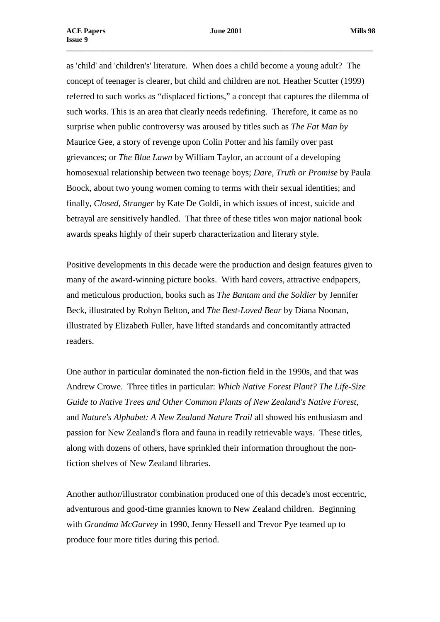as 'child' and 'children's' literature. When does a child become a young adult? The concept of teenager is clearer, but child and children are not. Heather Scutter (1999) referred to such works as "displaced fictions," a concept that captures the dilemma of such works. This is an area that clearly needs redefining. Therefore, it came as no surprise when public controversy was aroused by titles such as *The Fat Man by* Maurice Gee, a story of revenge upon Colin Potter and his family over past grievances; or *The Blue Lawn* by William Taylor, an account of a developing homosexual relationship between two teenage boys; *Dare, Truth or Promise* by Paula Boock, about two young women coming to terms with their sexual identities; and finally, *Closed, Stranger* by Kate De Goldi, in which issues of incest, suicide and betrayal are sensitively handled. That three of these titles won major national book awards speaks highly of their superb characterization and literary style.

Positive developments in this decade were the production and design features given to many of the award-winning picture books. With hard covers, attractive endpapers, and meticulous production, books such as *The Bantam and the Soldier* by Jennifer Beck, illustrated by Robyn Belton, and *The Best-Loved Bear* by Diana Noonan, illustrated by Elizabeth Fuller, have lifted standards and concomitantly attracted readers.

One author in particular dominated the non-fiction field in the 1990s, and that was Andrew Crowe. Three titles in particular: *Which Native Forest Plant? The Life-Size Guide to Native Trees and Other Common Plants of New Zealand's Native Forest,* and *Nature's Alphabet: A New Zealand Nature Trail* all showed his enthusiasm and passion for New Zealand's flora and fauna in readily retrievable ways. These titles, along with dozens of others, have sprinkled their information throughout the nonfiction shelves of New Zealand libraries.

Another author/illustrator combination produced one of this decade's most eccentric, adventurous and good-time grannies known to New Zealand children. Beginning with *Grandma McGarvey* in 1990, Jenny Hessell and Trevor Pye teamed up to produce four more titles during this period.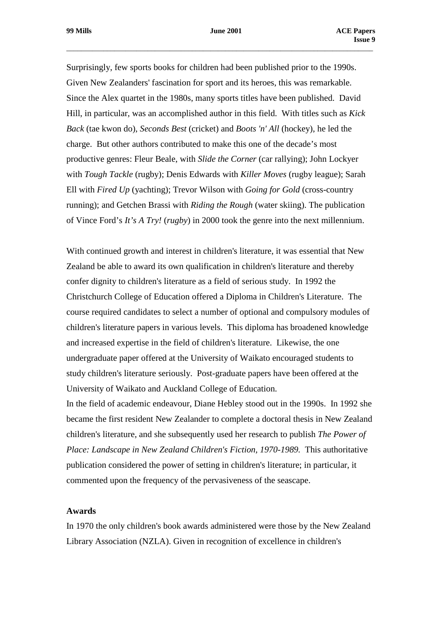Surprisingly, few sports books for children had been published prior to the 1990s. Given New Zealanders' fascination for sport and its heroes, this was remarkable. Since the Alex quartet in the 1980s, many sports titles have been published. David Hill, in particular, was an accomplished author in this field. With titles such as *Kick Back* (tae kwon do), *Seconds Best* (cricket) and *Boots 'n' All* (hockey), he led the charge. But other authors contributed to make this one of the decade's most productive genres: Fleur Beale, with *Slide the Corner* (car rallying); John Lockyer with *Tough Tackle* (rugby); Denis Edwards with *Killer Moves* (rugby league); Sarah Ell with *Fired Up* (yachting); Trevor Wilson with *Going for Gold* (cross-country running); and Getchen Brassi with *Riding the Rough* (water skiing). The publication of Vince Ford's *It's A Try!* (*rugby*) in 2000 took the genre into the next millennium.

With continued growth and interest in children's literature, it was essential that New Zealand be able to award its own qualification in children's literature and thereby confer dignity to children's literature as a field of serious study. In 1992 the Christchurch College of Education offered a Diploma in Children's Literature. The course required candidates to select a number of optional and compulsory modules of children's literature papers in various levels. This diploma has broadened knowledge and increased expertise in the field of children's literature. Likewise, the one undergraduate paper offered at the University of Waikato encouraged students to study children's literature seriously. Post-graduate papers have been offered at the University of Waikato and Auckland College of Education.

In the field of academic endeavour, Diane Hebley stood out in the 1990s. In 1992 she became the first resident New Zealander to complete a doctoral thesis in New Zealand children's literature, and she subsequently used her research to publish *The Power of Place: Landscape in New Zealand Children's Fiction, 1970-1989.* This authoritative publication considered the power of setting in children's literature; in particular, it commented upon the frequency of the pervasiveness of the seascape.

# **Awards**

In 1970 the only children's book awards administered were those by the New Zealand Library Association (NZLA). Given in recognition of excellence in children's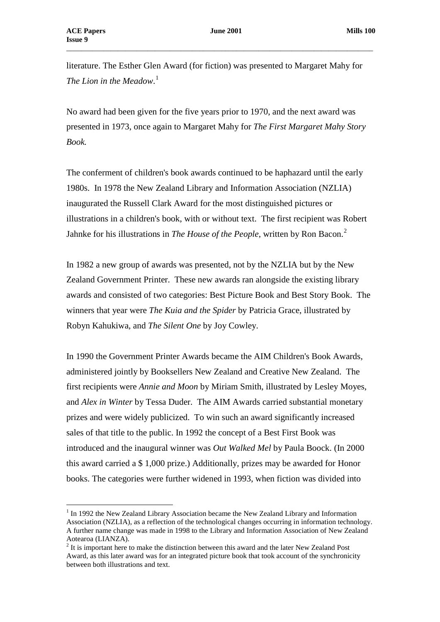$\overline{a}$ 

literature. The Esther Glen Award (for fiction) was presented to Margaret Mahy for *The Lion in the Meadow*. [1](#page-6-0)

\_\_\_\_\_\_\_\_\_\_\_\_\_\_\_\_\_\_\_\_\_\_\_\_\_\_\_\_\_\_\_\_\_\_\_\_\_\_\_\_\_\_\_\_\_\_\_\_\_\_\_\_\_\_\_\_\_\_\_\_\_\_\_\_\_\_\_\_\_\_\_\_\_\_\_\_\_\_\_\_\_\_\_

No award had been given for the five years prior to 1970, and the next award was presented in 1973, once again to Margaret Mahy for *The First Margaret Mahy Story Book.*

The conferment of children's book awards continued to be haphazard until the early 1980s. In 1978 the New Zealand Library and Information Association (NZLIA) inaugurated the Russell Clark Award for the most distinguished pictures or illustrations in a children's book, with or without text. The first recipient was Robert Jahnke for his illustrations in *The House of the People*, written by Ron Bacon.[2](#page-6-1)

In 1982 a new group of awards was presented, not by the NZLIA but by the New Zealand Government Printer. These new awards ran alongside the existing library awards and consisted of two categories: Best Picture Book and Best Story Book. The winners that year were *The Kuia and the Spider* by Patricia Grace, illustrated by Robyn Kahukiwa, and *The Silent One* by Joy Cowley.

In 1990 the Government Printer Awards became the AIM Children's Book Awards, administered jointly by Booksellers New Zealand and Creative New Zealand. The first recipients were *Annie and Moon* by Miriam Smith, illustrated by Lesley Moyes, and *Alex in Winter* by Tessa Duder. The AIM Awards carried substantial monetary prizes and were widely publicized. To win such an award significantly increased sales of that title to the public. In 1992 the concept of a Best First Book was introduced and the inaugural winner was *Out Walked Mel* by Paula Boock. (In 2000 this award carried a \$ 1,000 prize.) Additionally, prizes may be awarded for Honor books. The categories were further widened in 1993, when fiction was divided into

<span id="page-6-0"></span><sup>&</sup>lt;sup>1</sup> In 1992 the New Zealand Library Association became the New Zealand Library and Information Association (NZLIA), as a reflection of the technological changes occurring in information technology. A further name change was made in 1998 to the Library and Information Association of New Zealand Aotearoa (LIANZA).

<span id="page-6-1"></span> $2 \text{ It is important here}$  to make the distinction between this award and the later New Zealand Post Award, as this later award was for an integrated picture book that took account of the synchronicity between both illustrations and text.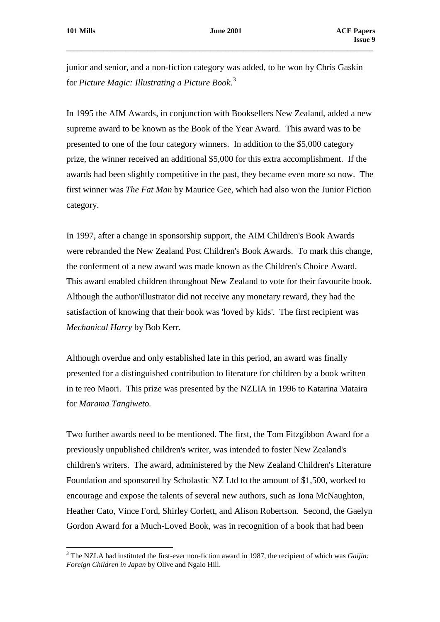$\overline{a}$ 

junior and senior, and a non-fiction category was added, to be won by Chris Gaskin for *Picture Magic: Illustrating a Picture Book*. [3](#page-7-0)

\_\_\_\_\_\_\_\_\_\_\_\_\_\_\_\_\_\_\_\_\_\_\_\_\_\_\_\_\_\_\_\_\_\_\_\_\_\_\_\_\_\_\_\_\_\_\_\_\_\_\_\_\_\_\_\_\_\_\_\_\_\_\_\_\_\_\_\_\_\_\_\_\_\_\_\_\_\_\_\_\_\_\_

In 1995 the AIM Awards, in conjunction with Booksellers New Zealand, added a new supreme award to be known as the Book of the Year Award. This award was to be presented to one of the four category winners. In addition to the \$5,000 category prize, the winner received an additional \$5,000 for this extra accomplishment. If the awards had been slightly competitive in the past, they became even more so now. The first winner was *The Fat Man* by Maurice Gee, which had also won the Junior Fiction category.

In 1997, after a change in sponsorship support, the AIM Children's Book Awards were rebranded the New Zealand Post Children's Book Awards. To mark this change, the conferment of a new award was made known as the Children's Choice Award. This award enabled children throughout New Zealand to vote for their favourite book. Although the author/illustrator did not receive any monetary reward, they had the satisfaction of knowing that their book was 'loved by kids'. The first recipient was *Mechanical Harry* by Bob Kerr.

Although overdue and only established late in this period, an award was finally presented for a distinguished contribution to literature for children by a book written in te reo Maori. This prize was presented by the NZLIA in 1996 to Katarina Mataira for *Marama Tangiweto.*

Two further awards need to be mentioned. The first, the Tom Fitzgibbon Award for a previously unpublished children's writer, was intended to foster New Zealand's children's writers. The award, administered by the New Zealand Children's Literature Foundation and sponsored by Scholastic NZ Ltd to the amount of \$1,500, worked to encourage and expose the talents of several new authors, such as Iona McNaughton, Heather Cato, Vince Ford, Shirley Corlett, and Alison Robertson. Second, the Gaelyn Gordon Award for a Much-Loved Book, was in recognition of a book that had been

<span id="page-7-0"></span><sup>3</sup> The NZLA had instituted the first-ever non-fiction award in 1987, the recipient of which was *Gaijin: Foreign Children in Japan* by Olive and Ngaio Hill.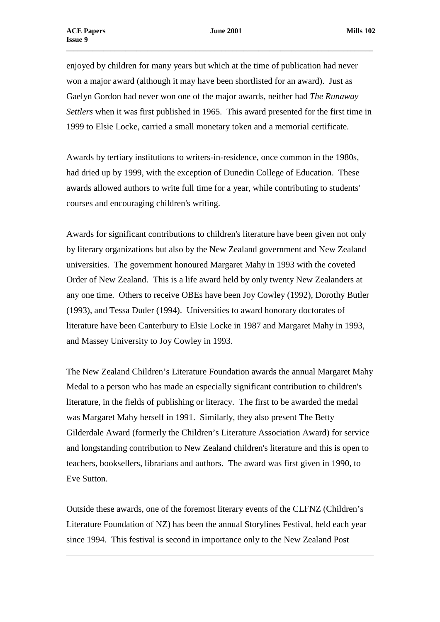$\overline{a}$ 

enjoyed by children for many years but which at the time of publication had never won a major award (although it may have been shortlisted for an award). Just as Gaelyn Gordon had never won one of the major awards, neither had *The Runaway Settlers* when it was first published in 1965. This award presented for the first time in 1999 to Elsie Locke, carried a small monetary token and a memorial certificate.

\_\_\_\_\_\_\_\_\_\_\_\_\_\_\_\_\_\_\_\_\_\_\_\_\_\_\_\_\_\_\_\_\_\_\_\_\_\_\_\_\_\_\_\_\_\_\_\_\_\_\_\_\_\_\_\_\_\_\_\_\_\_\_\_\_\_\_\_\_\_\_\_\_\_\_\_\_\_\_\_\_\_\_

Awards by tertiary institutions to writers-in-residence, once common in the 1980s, had dried up by 1999, with the exception of Dunedin College of Education. These awards allowed authors to write full time for a year, while contributing to students' courses and encouraging children's writing.

Awards for significant contributions to children's literature have been given not only by literary organizations but also by the New Zealand government and New Zealand universities. The government honoured Margaret Mahy in 1993 with the coveted Order of New Zealand. This is a life award held by only twenty New Zealanders at any one time. Others to receive OBEs have been Joy Cowley (1992), Dorothy Butler (1993), and Tessa Duder (1994). Universities to award honorary doctorates of literature have been Canterbury to Elsie Locke in 1987 and Margaret Mahy in 1993, and Massey University to Joy Cowley in 1993.

The New Zealand Children's Literature Foundation awards the annual Margaret Mahy Medal to a person who has made an especially significant contribution to children's literature, in the fields of publishing or literacy. The first to be awarded the medal was Margaret Mahy herself in 1991. Similarly, they also present The Betty Gilderdale Award (formerly the Children's Literature Association Award) for service and longstanding contribution to New Zealand children's literature and this is open to teachers, booksellers, librarians and authors. The award was first given in 1990, to Eve Sutton.

Outside these awards, one of the foremost literary events of the CLFNZ (Children's Literature Foundation of NZ) has been the annual Storylines Festival, held each year since 1994. This festival is second in importance only to the New Zealand Post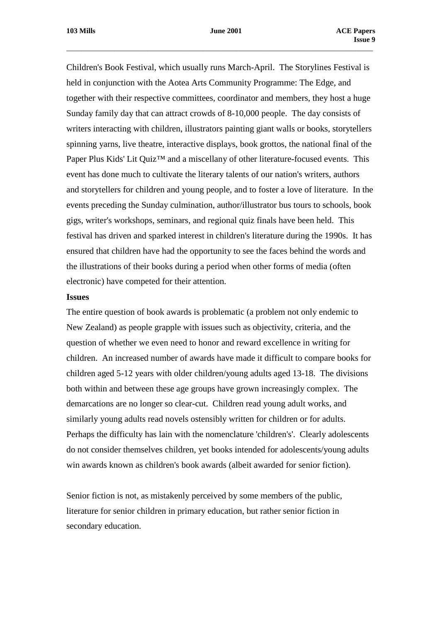Children's Book Festival, which usually runs March-April. The Storylines Festival is held in conjunction with the Aotea Arts Community Programme: The Edge, and together with their respective committees, coordinator and members, they host a huge Sunday family day that can attract crowds of 8-10,000 people. The day consists of writers interacting with children, illustrators painting giant walls or books, storytellers spinning yarns, live theatre, interactive displays, book grottos, the national final of the Paper Plus Kids' Lit Quiz<sup>™</sup> and a miscellany of other literature-focused events. This event has done much to cultivate the literary talents of our nation's writers, authors and storytellers for children and young people, and to foster a love of literature. In the events preceding the Sunday culmination, author/illustrator bus tours to schools, book gigs, writer's workshops, seminars, and regional quiz finals have been held. This festival has driven and sparked interest in children's literature during the 1990s. It has ensured that children have had the opportunity to see the faces behind the words and the illustrations of their books during a period when other forms of media (often electronic) have competed for their attention.

#### **Issues**

The entire question of book awards is problematic (a problem not only endemic to New Zealand) as people grapple with issues such as objectivity, criteria, and the question of whether we even need to honor and reward excellence in writing for children. An increased number of awards have made it difficult to compare books for children aged 5-12 years with older children/young adults aged 13-18. The divisions both within and between these age groups have grown increasingly complex. The demarcations are no longer so clear-cut. Children read young adult works, and similarly young adults read novels ostensibly written for children or for adults. Perhaps the difficulty has lain with the nomenclature 'children's'. Clearly adolescents do not consider themselves children, yet books intended for adolescents/young adults win awards known as children's book awards (albeit awarded for senior fiction).

Senior fiction is not, as mistakenly perceived by some members of the public, literature for senior children in primary education, but rather senior fiction in secondary education.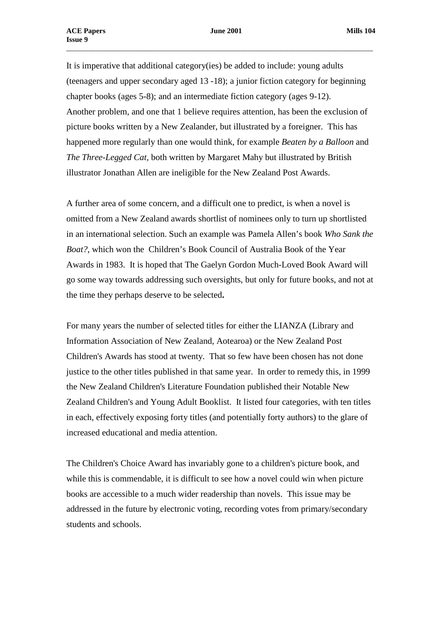It is imperative that additional category(ies) be added to include: young adults (teenagers and upper secondary aged 13 -18); a junior fiction category for beginning chapter books (ages 5-8); and an intermediate fiction category (ages 9-12). Another problem, and one that 1 believe requires attention, has been the exclusion of picture books written by a New Zealander, but illustrated by a foreigner. This has happened more regularly than one would think, for example *Beaten by a Balloon* and *The Three-Legged Cat,* both written by Margaret Mahy but illustrated by British illustrator Jonathan Allen are ineligible for the New Zealand Post Awards.

A further area of some concern, and a difficult one to predict, is when a novel is omitted from a New Zealand awards shortlist of nominees only to turn up shortlisted in an international selection. Such an example was Pamela Allen's book *Who Sank the Boat?*, which won the Children's Book Council of Australia Book of the Year Awards in 1983. It is hoped that The Gaelyn Gordon Much-Loved Book Award will go some way towards addressing such oversights, but only for future books, and not at the time they perhaps deserve to be selected**.**

For many years the number of selected titles for either the LIANZA (Library and Information Association of New Zealand, Aotearoa) or the New Zealand Post Children's Awards has stood at twenty. That so few have been chosen has not done justice to the other titles published in that same year. In order to remedy this, in 1999 the New Zealand Children's Literature Foundation published their Notable New Zealand Children's and Young Adult Booklist. It listed four categories, with ten titles in each, effectively exposing forty titles (and potentially forty authors) to the glare of increased educational and media attention.

The Children's Choice Award has invariably gone to a children's picture book, and while this is commendable, it is difficult to see how a novel could win when picture books are accessible to a much wider readership than novels. This issue may be addressed in the future by electronic voting, recording votes from primary/secondary students and schools.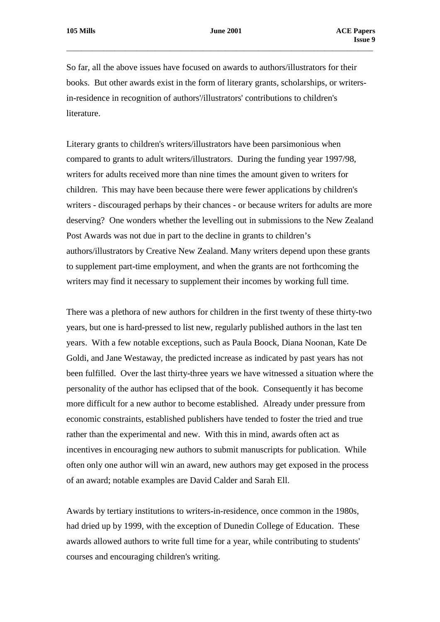So far, all the above issues have focused on awards to authors/illustrators for their books. But other awards exist in the form of literary grants, scholarships, or writersin-residence in recognition of authors'/illustrators' contributions to children's literature.

Literary grants to children's writers/illustrators have been parsimonious when compared to grants to adult writers/illustrators. During the funding year 1997/98, writers for adults received more than nine times the amount given to writers for children. This may have been because there were fewer applications by children's writers - discouraged perhaps by their chances - or because writers for adults are more deserving? One wonders whether the levelling out in submissions to the New Zealand Post Awards was not due in part to the decline in grants to children's authors/illustrators by Creative New Zealand. Many writers depend upon these grants to supplement part-time employment, and when the grants are not forthcoming the writers may find it necessary to supplement their incomes by working full time.

There was a plethora of new authors for children in the first twenty of these thirty-two years, but one is hard-pressed to list new, regularly published authors in the last ten years. With a few notable exceptions, such as Paula Boock, Diana Noonan, Kate De Goldi, and Jane Westaway, the predicted increase as indicated by past years has not been fulfilled. Over the last thirty-three years we have witnessed a situation where the personality of the author has eclipsed that of the book. Consequently it has become more difficult for a new author to become established. Already under pressure from economic constraints, established publishers have tended to foster the tried and true rather than the experimental and new. With this in mind, awards often act as incentives in encouraging new authors to submit manuscripts for publication. While often only one author will win an award, new authors may get exposed in the process of an award; notable examples are David Calder and Sarah Ell.

Awards by tertiary institutions to writers-in-residence, once common in the 1980s, had dried up by 1999, with the exception of Dunedin College of Education. These awards allowed authors to write full time for a year, while contributing to students' courses and encouraging children's writing.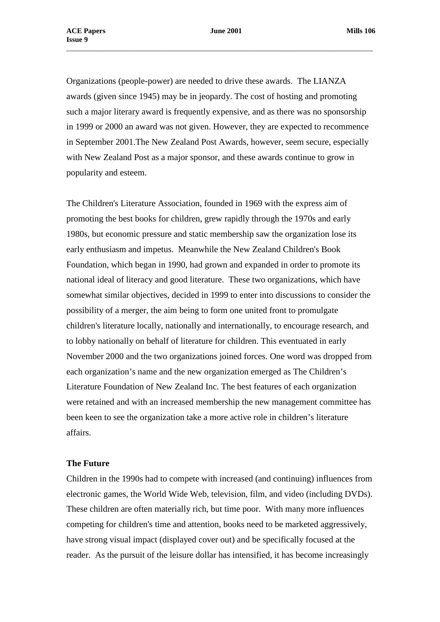Organizations (people-power) are needed to drive these awards. The LIANZA awards (given since 1945) may be in jeopardy. The cost of hosting and promoting such a major literary award is frequently expensive, and as there was no sponsorship in 1999 or 2000 an award was not given. However, they are expected to recommence in September 2001.The New Zealand Post Awards, however, seem secure, especially with New Zealand Post as a major sponsor, and these awards continue to grow in popularity and esteem.

The Children's Literature Association, founded in 1969 with the express aim of promoting the best books for children, grew rapidly through the 1970s and early 1980s, but economic pressure and static membership saw the organization lose its early enthusiasm and impetus. Meanwhile the New Zealand Children's Book Foundation, which began in 1990, had grown and expanded in order to promote its national ideal of literacy and good literature. These two organizations, which have somewhat similar objectives, decided in 1999 to enter into discussions to consider the possibility of a merger, the aim being to form one united front to promulgate children's literature locally, nationally and internationally, to encourage research, and to lobby nationally on behalf of literature for children. This eventuated in early November 2000 and the two organizations joined forces. One word was dropped from each organization's name and the new organization emerged as The Children's Literature Foundation of New Zealand Inc. The best features of each organization were retained and with an increased membership the new management committee has been keen to see the organization take a more active role in children's literature affairs.

# **The Future**

Children in the 1990s had to compete with increased (and continuing) influences from electronic games, the World Wide Web, television, film, and video (including DVDs). These children are often materially rich, but time poor. With many more influences competing for children's time and attention, books need to be marketed aggressively, have strong visual impact (displayed cover out) and be specifically focused at the reader. As the pursuit of the leisure dollar has intensified, it has become increasingly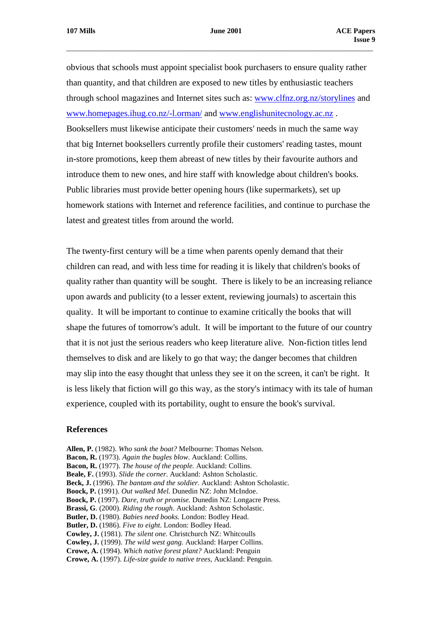obvious that schools must appoint specialist book purchasers to ensure quality rather than quantity, and that children are exposed to new titles by enthusiastic teachers through school magazines and Internet sites such as: [www.clfnz.org.nz/storylines](http://www.clfnz.org.nz/storylines) and [www.homepages.ihug.co.nz/-l.orman/](http://www.homepages.ihug.co.nz/-l.orman/) and [www.englishunitecnology.ac.nz](http://www.englishunitecnology.ac.nz/) . Booksellers must likewise anticipate their customers' needs in much the same way that big Internet booksellers currently profile their customers' reading tastes, mount in-store promotions, keep them abreast of new titles by their favourite authors and introduce them to new ones, and hire staff with knowledge about children's books. Public libraries must provide better opening hours (like supermarkets), set up homework stations with Internet and reference facilities, and continue to purchase the latest and greatest titles from around the world.

The twenty-first century will be a time when parents openly demand that their children can read, and with less time for reading it is likely that children's books of quality rather than quantity will be sought. There is likely to be an increasing reliance upon awards and publicity (to a lesser extent, reviewing journals) to ascertain this quality. It will be important to continue to examine critically the books that will shape the futures of tomorrow's adult. It will be important to the future of our country that it is not just the serious readers who keep literature alive. Non-fiction titles lend themselves to disk and are likely to go that way; the danger becomes that children may slip into the easy thought that unless they see it on the screen, it can't be right. It is less likely that fiction will go this way, as the story's intimacy with its tale of human experience, coupled with its portability, ought to ensure the book's survival.

#### **References**

- **Allen, P.** (1982). *Who sank the boat?* Melbourne: Thomas Nelson.
- **Bacon, R.** (1973). *Again the bugles blow*. Auckland: Collins.
- **Bacon, R.** (1977). *The house of the people.* Auckland: Collins.
- **Beale, F.** (1993). *Slide the corner*. Auckland: Ashton Scholastic.
- **Beck, J.** (1996). *The bantam and the soldier.* Auckland: Ashton Scholastic.
- **Boock, P.** (1991). *Out walked Mel.* Dunedin NZ: John McIndoe.
- **Boock, P.** (1997). *Dare, truth or promise.* Dunedin NZ: Longacre Press.
- **Brassi, G**. (2000). *Riding the rough*. Auckland: Ashton Scholastic.
- **Butler, D.** (1980). *Babies need books.* London: Bodley Head.
- **Butler, D.** (1986). *Five to eight*. London: Bodley Head.
- **Cowley, J.** (1981). *The silent one.* Christchurch NZ: Whitcoulls
- **Cowley, J.** (1999). *The wild west gang.* Auckland: Harper Collins.
- **Crowe, A.** (1994). *Which native forest plant?* Auckland: Penguin
- **Crowe, A.** (1997). *Life-size guide to native trees,* Auckland: Penguin.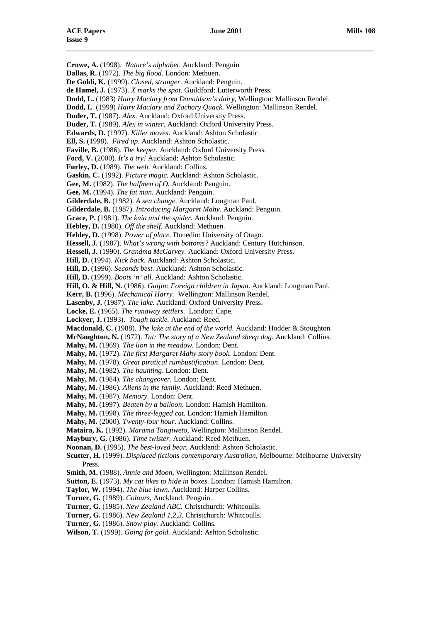\_\_\_\_\_\_\_\_\_\_\_\_\_\_\_\_\_\_\_\_\_\_\_\_\_\_\_\_\_\_\_\_\_\_\_\_\_\_\_\_\_\_\_\_\_\_\_\_\_\_\_\_\_\_\_\_\_\_\_\_\_\_\_\_\_\_\_\_\_\_\_\_\_\_\_\_\_\_\_\_\_\_\_ **Crowe, A.** (1998). *Nature's alphabet*. Auckland: Penguin **Dallas, R.** (1972). *The big flood.* London: Methuen. **De Goldi, K***.* (1999). *Closed, stranger*. Auckland: Penguin. **de Hamel, J.** (1973). *X marks the spot*. Guildford: Lutterworth Press. **Dodd, L.** (1983) *Hairy Maclary from Donaldson's dairy*, Wellington: Mallinson Rendel. **Dodd, L**. (1999) *Hairy Maclary and Zachary Quack.* Wellington: Mallinson Rendel. **Duder, T.** (1987). *Alex.* Auckland: Oxford University Press. **Duder, T.** (1989). *Alex in winter,* Auckland: Oxford University Press. **Edwards, D.** (1997). *Killer moves*. Auckland: Ashton Scholastic. **Ell, S.** (1998). *Fired up*. Auckland: Ashton Scholastic. **Faville, B.** (1986). *The keeper.* Auckland: Oxford University Press. **Ford, V.** (2000). *It's a try!* Auckland: Ashton Scholastic. **Furley, D.** (1989). *The web.* Auckland: Collins. **Gaskin, C.** (1992). *Picture magic.* Auckland: Ashton Scholastic. **Gee, M.** (1982). *The halfmen of O.* Auckland: Penguin. **Gee, M.** (1994). *The fat man.* Auckland: Penguin. **Gilderdale, B.** (1982). *A sea change.* Auckland: Longman Paul. **Gilderdale, B.** (1987). *Introducing Margaret Mahy.* Auckland: Penguin. **Grace, P.** (1981). *The kuia and the spider.* Auckland: Penguin. **Hebley, D.** (1980). *Off the shelf.* Auckland: Methuen. **Hebley, D.** (1998). *Power of place.* Dunedin: University of Otago. **Hessell, J.** (1987). *What's wrong with bottoms?* Auckland: Century Hutchinson. **Hessell, J.** (1990). *Grandma McGarvey.* Auckland: Oxford University Press. **Hill, D.** (1994). *Kick back*. Auckland: Ashton Scholastic. **Hill, D.** (1996). *Seconds best.* Auckland: Ashton Scholastic. **Hill, D.** (1999). *Boots 'n' all.* Auckland: Ashton Scholastic. **Hill, O. & Hill, N.** (1986). *Gaijin: Foreign children in Japan*. Auckland: Longman Paul. **Kerr, B. (**1996). *Mechanical Harry.* Wellington: Mallinson Rendel. **Lasenby, J***.* (1987). *The lake.* Auckland: Oxford University Press. **Locke, E.** (1965). *The runaway settlers.* London: Cape. **Lockyer, J.** (1993). *Tough tackle.* Auckland: Reed. **Macdonald, C.** (1988). *The lake at the end of the world.* Auckland: Hodder & Stoughton. **McNaughton, N.** (1972). *Tat: The story of a New Zealand sheep dog*. Auckland: Collins. **Mahy, M.** (1969). *The lion in the meadow.* London: Dent. **Mahy, M.** (1972). *The first Margaret Mahy story book.* London: Dent. **Mahy, M.** (1978). *Great piratical rumbustification*. London: Dent. **Mahy, M.** (1982). *The haunting*. London: Dent. **Mahy, M.** (1984). *The changeover.* London: Dent. **Mahy, M.** (1986). *Aliens in the family.* Auckland: Reed Methuen. **Mahy, M.** (1987). *Memory.* London: Dent. **Mahy, M.** (1997). *Beaten by a balloon*. London: Hamish Hamilton. **Mahy, M.** (1998). *The three-legged cat.* London: Hamish Hamilton. **Mahy, M.** (2000). *Twenty-four hour.* Auckland: Collins. **Mataira, K.** (1992). *Marama Tangiweto*, Wellington: Mallinson Rendel. **Maybury, G.** (1986). *Time twister*. Auckland: Reed Methuen. **Noonan, D.** (1995). *The best-loved bear.* Auckland: Ashton Scholastic. **Scutter, H.** (1999). *Displaced fictions contemporary Australian,* Melbourne: Melbourne University Press. **Smith, M.** (1988). *Annie and Moon*, Wellington: Mallinson Rendel. **Sutton, E.** (1973). *My cat likes to hide in boxes*. London: Hamish Hamilton. **Taylor, W.** (1994). *The blue lawn.* Auckland: Harper Collins. **Turner, G.** (1989). *Colours,* Auckland: Penguin. **Turner, G.** (1985). *New Zealand ABC.* Christchurch: Whitcoulls. **Turner, G.** (1986). *New Zealand 1,2,3.* Christchurch: Whitcoulls.

**Turner, G.** (1986). *Snow play.* Auckland: Collins.

**Wilson, T.** (1999). *Going for gold.* Auckland: Ashton Scholastic.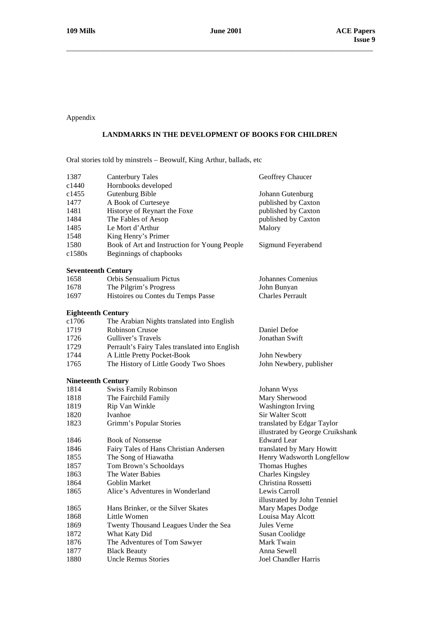Appendix

# **LANDMARKS IN THE DEVELOPMENT OF BOOKS FOR CHILDREN**

Oral stories told by minstrels – Beowulf, King Arthur, ballads, etc

| 1387<br>c1440              | <b>Canterbury Tales</b><br>Hornbooks developed | Geoffrey Chaucer                             |
|----------------------------|------------------------------------------------|----------------------------------------------|
| c1455                      | Gutenburg Bible                                | Johann Gutenburg                             |
| 1477                       | A Book of Curteseye                            | published by Caxton                          |
| 1481                       | Historye of Reynart the Foxe                   | published by Caxton                          |
| 1484                       | The Fables of Aesop                            | published by Caxton                          |
| 1485                       | Le Mort d'Arthur                               | Malory                                       |
| 1548                       | King Henry's Primer                            |                                              |
| 1580                       | Book of Art and Instruction for Young People   | Sigmund Feyerabend                           |
| c1580s                     | Beginnings of chapbooks                        |                                              |
| <b>Seventeenth Century</b> |                                                |                                              |
| 1658                       | Orbis Sensualium Pictus                        | Johannes Comenius                            |
| 1678                       | The Pilgrim's Progress                         | John Bunyan                                  |
| 1697                       | Histoires ou Contes du Temps Passe             | <b>Charles Perrault</b>                      |
| <b>Eighteenth Century</b>  |                                                |                                              |
| c1706                      | The Arabian Nights translated into English     |                                              |
| 1719                       | <b>Robinson Crusoe</b>                         | Daniel Defoe                                 |
| 1726                       | Gulliver's Travels                             | Jonathan Swift                               |
| 1729                       | Perrault's Fairy Tales translated into English |                                              |
| 1744                       | A Little Pretty Pocket-Book                    | John Newbery                                 |
| 1765                       | The History of Little Goody Two Shoes          | John Newbery, publisher                      |
| <b>Nineteenth Century</b>  |                                                |                                              |
| 1814                       | Swiss Family Robinson                          | Johann Wyss                                  |
| 1818                       | The Fairchild Family                           | Mary Sherwood                                |
| 1819                       | Rip Van Winkle                                 | <b>Washington Irving</b>                     |
| 1820                       | Ivanhoe                                        | Sir Walter Scott                             |
| 1823                       | Grimm's Popular Stories                        | translated by Edgar Taylor                   |
|                            |                                                | illustrated by George Cruikshank             |
| 1846                       | <b>Book of Nonsense</b>                        | <b>Edward</b> Lear                           |
| 1846                       | Fairy Tales of Hans Christian Andersen         | translated by Mary Howitt                    |
| 1855                       | The Song of Hiawatha                           | Henry Wadsworth Longfellow                   |
| 1857                       | Tom Brown's Schooldays                         | <b>Thomas Hughes</b>                         |
| 1863                       | The Water Babies                               | <b>Charles Kingsley</b>                      |
| 1864                       | <b>Goblin Market</b>                           | Christina Rossetti                           |
| 1865                       | Alice's Adventures in Wonderland               | Lewis Carroll<br>illustrated by John Tenniel |
| 1865                       | Hans Brinker, or the Silver Skates             | Mary Mapes Dodge                             |
| 1868                       | Little Women                                   | Louisa May Alcott                            |
| 1869                       | Twenty Thousand Leagues Under the Sea          | Jules Verne                                  |
| 1872                       | What Katy Did                                  | Susan Coolidge                               |
| 1876                       | The Adventures of Tom Sawyer                   | Mark Twain                                   |
| 1877                       | <b>Black Beauty</b>                            | Anna Sewell                                  |
| 1880                       | <b>Uncle Remus Stories</b>                     | Joel Chandler Harris                         |
|                            |                                                |                                              |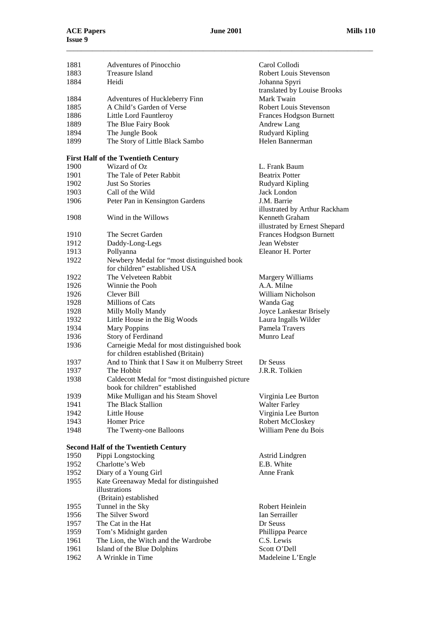| 1881<br>1883<br>1884 | <b>Adventures of Pinocchio</b><br><b>Treasure Island</b><br>Heidi                 | Carol Collodi<br>Robert Louis Stevenson<br>Johanna Spyri |
|----------------------|-----------------------------------------------------------------------------------|----------------------------------------------------------|
|                      |                                                                                   | translated by Louise Brooks                              |
| 1884                 | Adventures of Huckleberry Finn                                                    | Mark Twain                                               |
| 1885                 | A Child's Garden of Verse                                                         | Robert Louis Stevenson                                   |
| 1886                 | Little Lord Fauntleroy                                                            | <b>Frances Hodgson Burnett</b>                           |
| 1889                 | The Blue Fairy Book                                                               | Andrew Lang                                              |
| 1894                 | The Jungle Book                                                                   | Rudyard Kipling                                          |
| 1899                 | The Story of Little Black Sambo                                                   | Helen Bannerman                                          |
|                      | <b>First Half of the Twentieth Century</b>                                        |                                                          |
| 1900                 | Wizard of Oz                                                                      | L. Frank Baum                                            |
| 1901                 | The Tale of Peter Rabbit                                                          | <b>Beatrix Potter</b>                                    |
| 1902                 | <b>Just So Stories</b>                                                            | Rudyard Kipling                                          |
| 1903                 | Call of the Wild                                                                  | Jack London                                              |
| 1906                 | Peter Pan in Kensington Gardens                                                   | J.M. Barrie<br>illustrated by Arthur Rackham             |
| 1908                 | Wind in the Willows                                                               | Kenneth Graham<br>illustrated by Ernest Shepard          |
| 1910                 | The Secret Garden                                                                 | <b>Frances Hodgson Burnett</b>                           |
| 1912                 | Daddy-Long-Legs                                                                   | Jean Webster                                             |
| 1913                 | Pollyanna                                                                         | Eleanor H. Porter                                        |
| 1922                 | Newbery Medal for "most distinguished book                                        |                                                          |
|                      | for children" established USA                                                     |                                                          |
| 1922                 | The Velveteen Rabbit                                                              | Margery Williams                                         |
| 1926                 | Winnie the Pooh                                                                   | A.A. Milne                                               |
| 1926                 | Clever Bill                                                                       | William Nicholson                                        |
| 1928                 | Millions of Cats                                                                  | Wanda Gag                                                |
| 1928                 | Milly Molly Mandy                                                                 | Joyce Lankestar Brisely                                  |
| 1932                 | Little House in the Big Woods                                                     | Laura Ingalls Wilder                                     |
| 1934                 | <b>Mary Poppins</b>                                                               | Pamela Travers                                           |
| 1936                 | Story of Ferdinand                                                                | Munro Leaf                                               |
| 1936                 | Carneigie Medal for most distinguished book<br>for children established (Britain) |                                                          |
| 1937                 | And to Think that I Saw it on Mulberry Street                                     | Dr Seuss                                                 |
| 1937                 | The Hobbit                                                                        | J.R.R. Tolkien                                           |
| 1938                 | Caldecott Medal for "most distinguished picture                                   |                                                          |
|                      | book for children" established                                                    |                                                          |
| 1939                 | Mike Mulligan and his Steam Shovel                                                | Virginia Lee Burton                                      |
| 1941                 | The Black Stallion                                                                | <b>Walter Farley</b>                                     |
| 1942                 | <b>Little House</b>                                                               | Virginia Lee Burton                                      |
| 1943                 | Homer Price                                                                       | Robert McCloskey                                         |
| 1948                 | The Twenty-one Balloons                                                           | William Pene du Bois                                     |
|                      | <b>Second Half of the Twentieth Century</b>                                       |                                                          |
| 1950                 | Pippi Longstocking                                                                | Astrid Lindgren                                          |
| 1952                 | Charlotte's Web                                                                   | E.B. White                                               |
| 1952                 | Diary of a Young Girl                                                             | Anne Frank                                               |
| 1955                 | Kate Greenaway Medal for distinguished                                            |                                                          |
|                      | illustrations                                                                     |                                                          |
|                      | (Britain) established                                                             |                                                          |
| 1955                 | Tunnel in the Sky                                                                 | Robert Heinlein                                          |
| 1956                 | The Silver Sword                                                                  | Ian Serrailler                                           |
| 1957<br>1959         | The Cat in the Hat                                                                | Dr Seuss                                                 |
| 1961                 | Tom's Midnight garden<br>The Lion, the Witch and the Wardrobe                     | Phillippa Pearce<br>C.S. Lewis                           |
| 1961                 | Island of the Blue Dolphins                                                       | Scott O'Dell                                             |
| 1962                 | A Wrinkle in Time                                                                 | Madeleine L'Engle                                        |
|                      |                                                                                   |                                                          |